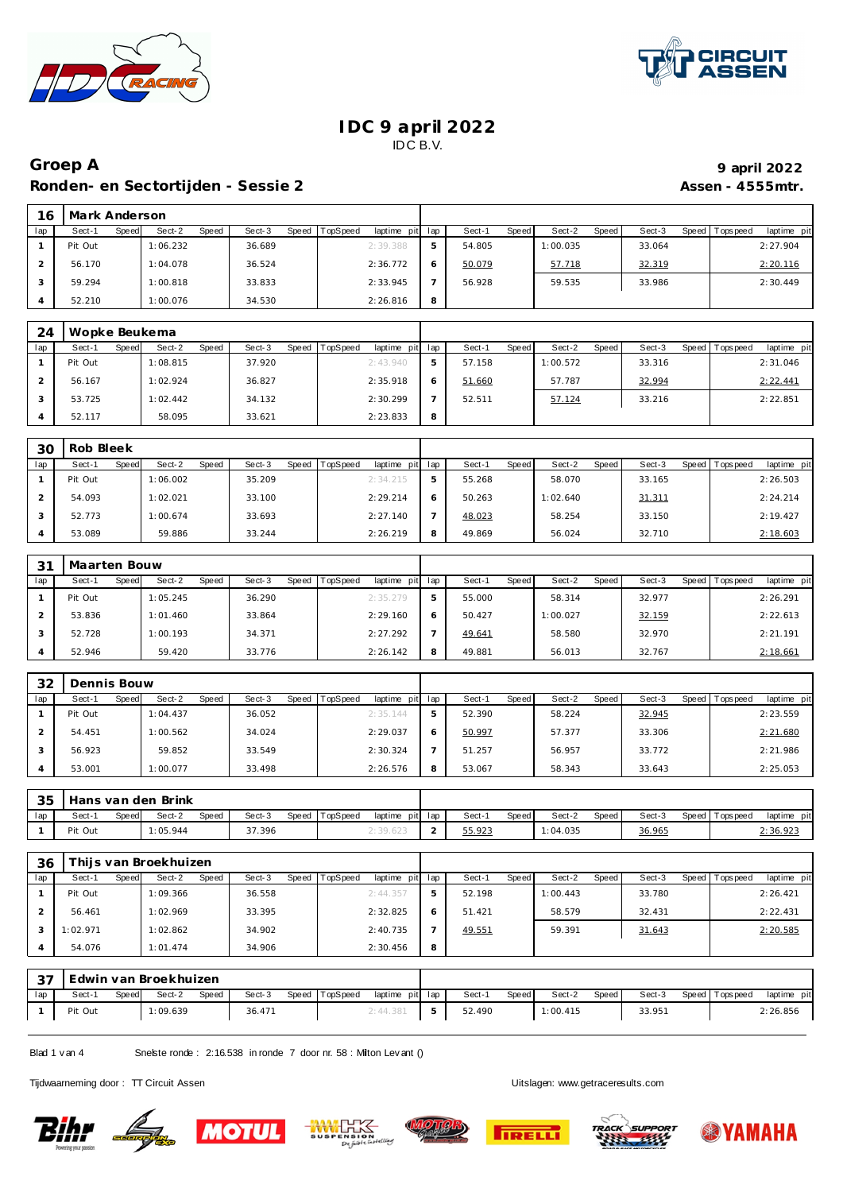

 $\mathsf{r}$ 



### **IDC 9 april 2022** IDC B.V.

## **Groep A 9 april 2022 Ronden- en Sectortijden - Sessie 2 Assen - 4555mtr.**

| 16  | Mark Anderson |       |          |       |        |       |          |                |     |        |       |          |       |        |         |                  |             |
|-----|---------------|-------|----------|-------|--------|-------|----------|----------------|-----|--------|-------|----------|-------|--------|---------|------------------|-------------|
| lap | Sect-1        | Speed | Sect-2   | Speed | Sect-3 | Speed | TopSpeed | laptime<br>pit | lap | Sect-1 | Speed | Sect-2   | Speed | Sect-3 | Speed I | <b>Tops peed</b> | laptime pit |
|     | Pit Out       |       | 1:06.232 |       | 36.689 |       |          | 2:39.388       |     | 54.805 |       | 1:00.035 |       | 33.064 |         |                  | 2:27.904    |
|     | 56.170        |       | 1:04.078 |       | 36.524 |       |          | 2:36.772       |     | 50.079 |       | 57.718   |       | 32.319 |         |                  | 2:20.116    |
|     | 59.294        |       | 1:00.818 |       | 33.833 |       |          | 2:33.945       |     | 56.928 |       | 59.535   |       | 33.986 |         |                  | 2:30.449    |
|     | 52.210        |       | 1:00.076 |       | 34.530 |       |          | 2:26.816       | 8   |        |       |          |       |        |         |                  |             |

| 24  | Wopke Beukema   |                 |                 |                                    |   |        |              |          |       |        |                |             |
|-----|-----------------|-----------------|-----------------|------------------------------------|---|--------|--------------|----------|-------|--------|----------------|-------------|
| lap | Sect-1<br>Speed | Sect-2<br>Speed | Sect-3<br>Speed | <b>TopSpeed</b><br>laptime pit lap |   | Sect-1 | <b>Speed</b> | Sect-2   | Speed | Sect-3 | Speed Topspeed | laptime pit |
|     | Pit Out         | 1:08.815        | 37.920          | 2:43.940                           |   | 57.158 |              | 1:00.572 |       | 33.316 |                | 2:31.046    |
|     | 56.167          | 1:02.924        | 36.827          | 2:35.918                           |   | 51.660 |              | 57.787   |       | 32.994 |                | 2:22.441    |
|     | 53.725          | 1:02.442        | 34.132          | 2:30.299                           |   | 52.511 |              | 57.124   |       | 33.216 |                | 2:22.851    |
|     | 52.117          | 58.095          | 33.621          | 2:23.833                           | 8 |        |              |          |       |        |                |             |

| 30  | Rob Bleek       |                        |                 |                         |     |                        |                 |                 |                           |
|-----|-----------------|------------------------|-----------------|-------------------------|-----|------------------------|-----------------|-----------------|---------------------------|
| lap | Speed<br>Sect-1 | Sect-2<br><b>Speed</b> | Sect-3<br>Speed | TopSpeed<br>laptime pit | lap | Sect-1<br><b>Speed</b> | Sect-2<br>Speed | Sect-3<br>Speed | laptime pit<br>Tops pee d |
|     | Pit Out         | 1:06.002               | 35.209          | 2:34.215                | ь   | 55.268                 | 58.070          | 33.165          | 2:26.503                  |
|     | 54.093          | 1:02.021               | 33.100          | 2:29.214                | 6   | 50.263                 | 1:02.640        | 31.311          | 2:24.214                  |
|     | 52.773          | 1:00.674               | 33.693          | 2:27.140                |     | 48.023                 | 58.254          | 33.150          | 2:19.427                  |
|     | 53.089          | 59.886                 | 33.244          | 2:26.219                | 8   | 49.869                 | 56.024          | 32.710          | 2:18.603                  |

| 3 <sup>1</sup> | Maarten Bouw |       |          |              |        |       |                 |             |     |        |       |          |       |        |         |           |             |
|----------------|--------------|-------|----------|--------------|--------|-------|-----------------|-------------|-----|--------|-------|----------|-------|--------|---------|-----------|-------------|
| lap            | Sect-1       | Speed | Sect-2   | <b>Speed</b> | Sect-3 | Speed | <b>TopSpeed</b> | laptime pit | lap | Sect-1 | Speed | Sect-2   | Speed | Sect-3 | Speed I | Tops peed | laptime pit |
|                | Pit Out      |       | 1:05.245 |              | 36.290 |       |                 | 2:35.279    | 5   | 55.000 |       | 58.314   |       | 32.977 |         |           | 2:26.291    |
|                | 53.836       |       | 1:01.460 |              | 33.864 |       |                 | 2:29.160    |     | 50.427 |       | 1:00.027 |       | 32.159 |         |           | 2:22.613    |
|                | 52.728       |       | 1:00.193 |              | 34.371 |       |                 | 2:27.292    |     | 49.641 |       | 58.580   |       | 32.970 |         |           | 2:21.191    |
|                | 52.946       |       | 59.420   |              | 33.776 |       |                 | 2:26.142    | 8   | 49.881 |       | 56.013   |       | 32.767 |         |           | 2:18.661    |

| 32  | Dennis Bouw |       |          |       |        |       |                 |                 |        |       |        |       |        |                   |             |
|-----|-------------|-------|----------|-------|--------|-------|-----------------|-----------------|--------|-------|--------|-------|--------|-------------------|-------------|
| lap | Sect-1      | Speed | Sect-2   | Speed | Sect-3 | Speed | <b>TopSpeed</b> | laptime pit lap | Sect-1 | Speed | Sect-2 | Speed | Sect-3 | Speed   Tops peed | laptime pit |
|     | Pit Out     |       | 1:04.437 |       | 36.052 |       |                 | 2:35.144        | 52.390 |       | 58.224 |       | 32.945 |                   | 2:23.559    |
|     | 54.451      |       | 1:00.562 |       | 34.024 |       |                 | 2:29.037        | 50.997 |       | 57.377 |       | 33.306 |                   | 2:21.680    |
|     | 56.923      |       | 59.852   |       | 33.549 |       |                 | 2:30.324        | 51.257 |       | 56.957 |       | 33.772 |                   | 2:21.986    |
|     | 53.001      |       | 1:00.077 |       | 33.498 |       |                 | 2:26.576        | 53.067 |       | 58.343 |       | 33.643 |                   | 2:25.053    |

|     |         |       | 35 Hans van den Brink |       |        |                |                 |        |         |          |       |        |                   |                 |
|-----|---------|-------|-----------------------|-------|--------|----------------|-----------------|--------|---------|----------|-------|--------|-------------------|-----------------|
| lap | Sect-1  | Speed | Sect-2                | Speed | Sect-3 | Speed TopSpeed | laptime pit lap | Sect-1 | Speed I | Sect-2   | Speed | Sect-3 | Speed   Tops peed | laptime pit     |
|     | Pit Out |       | 1:05.944              |       | 37.396 |                | 2:39.623        | 55.923 |         | 1:04.035 |       | 36.965 |                   | <u>2:36.923</u> |

| 36  | Thijs van Broekhuizen |       |          |       |        |       |                 |                 |   |        |       |          |       |        |                 |             |
|-----|-----------------------|-------|----------|-------|--------|-------|-----------------|-----------------|---|--------|-------|----------|-------|--------|-----------------|-------------|
| lap | Sect-1                | Speed | Sect-2   | Speed | Sect-3 | Speed | <b>TopSpeed</b> | laptime pit lap |   | Sect-1 | Speed | Sect-2   | Speed | Sect-3 | Speed Tops peed | laptime pit |
|     | Pit Out               |       | 1:09.366 |       | 36.558 |       |                 | 2: 44.357       |   | 52.198 |       | 1:00.443 |       | 33.780 |                 | 2:26.421    |
|     | 56.461                |       | 1:02.969 |       | 33.395 |       |                 | 2:32.825        |   | 51.421 |       | 58.579   |       | 32.431 |                 | 2:22.431    |
|     | 1:02.971              |       | 1:02.862 |       | 34.902 |       |                 | 2:40.735        |   | 49.551 |       | 59.391   |       | 31.643 |                 | 2:20.585    |
|     | 54.076                |       | 1:01.474 |       | 34.906 |       |                 | 2:30.456        | 8 |        |       |          |       |        |                 |             |

| っっ  |         |       | Edwin van Broekhuizen |       |        |                |                 |        |       |          |       |        |                 |             |
|-----|---------|-------|-----------------------|-------|--------|----------------|-----------------|--------|-------|----------|-------|--------|-----------------|-------------|
| lap | Sect-1  | Speed | Sect-2                | Speed | Sect-3 | Speed TopSpeed | laptime pit lap | Sect-  | Speed | Sect-2   | Speed | Sect-3 | Speed Tops peed | laptime pit |
|     | Pit Out |       | 1:09.639              |       | 36.471 |                | 2:44.381        | 52.490 |       | 1:00.415 |       | 33.951 |                 | 2:26.856    |

Blad 1 v an 4 Snelste ronde : 2:16.538 in ronde 7 door nr. 58 : Milton Lev ant ()

Tijdwaarneming door : TT Circuit Assen enter the state of the Uitslagen:<www.getraceresults.com>









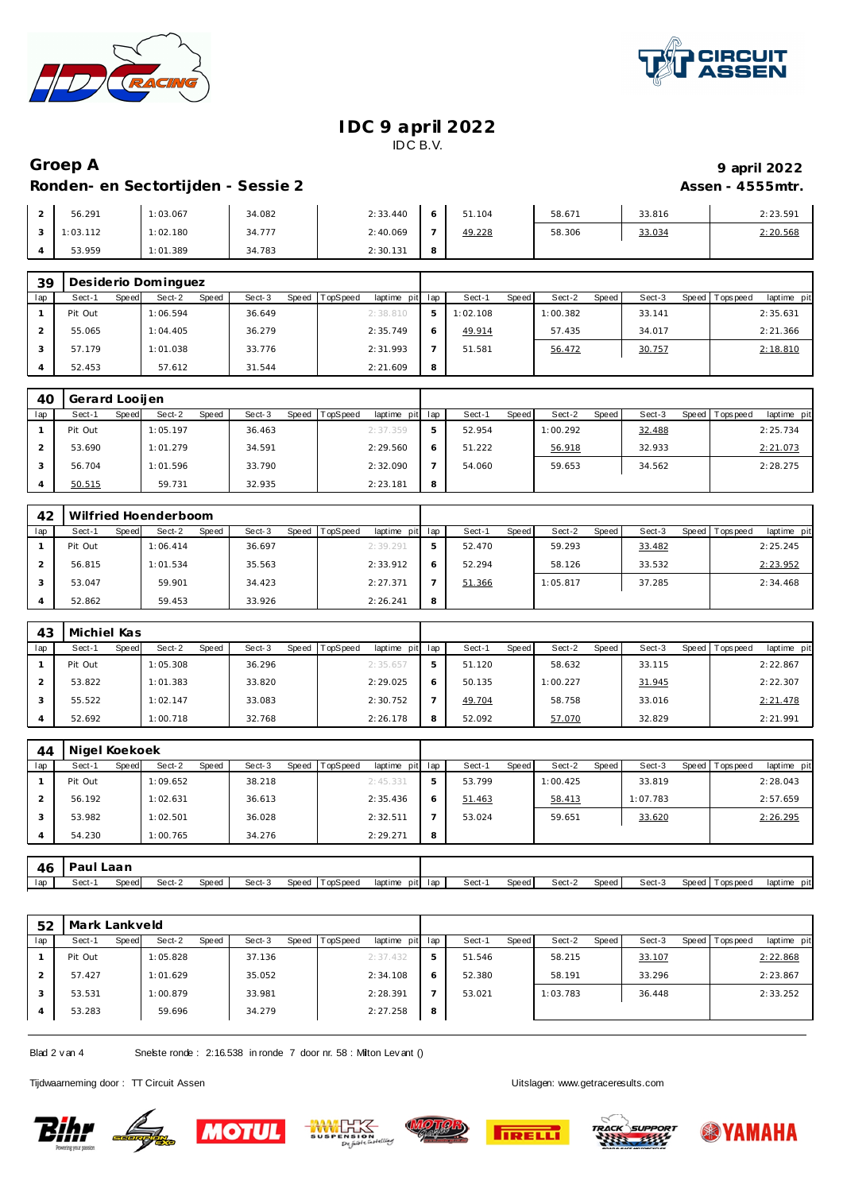



### **IDC 9 april 2022** IDC B.V.

# **Groep A 9 april 2022 Ronden- en Sectortijden - Sessie 2 Assen - 4555mtr.**

| 56.291   | 1:03.067 | 34.082 | 2:33.440 |   | 51.104 | 58.671 | 33.816 | 2:23.591 |
|----------|----------|--------|----------|---|--------|--------|--------|----------|
| 1:03.112 | 1:02.180 | 34.777 | 2:40.069 |   | 49.228 | 58.306 | 33.034 | 2:20.568 |
| 53.959   | 1:01.389 | 34.783 | 2:30.131 | 8 |        |        |        |          |

| 39  | Desiderio Dominguez |       |          |       |        |       |                 |             |     |          |       |          |       |        |                 |             |
|-----|---------------------|-------|----------|-------|--------|-------|-----------------|-------------|-----|----------|-------|----------|-------|--------|-----------------|-------------|
| lap | Sect-1              | Speed | Sect-2   | Speed | Sect-3 | Speed | <b>TopSpeed</b> | laptime pit | lap | Sect-    | Speed | Sect-2   | Speed | Sect-3 | Speed Tops peed | laptime pit |
|     | Pit Out             |       | 1:06.594 |       | 36.649 |       |                 | 2:38.810    | 5   | 1:02.108 |       | 1:00.382 |       | 33.141 |                 | 2:35.631    |
|     | 55.065              |       | 1:04.405 |       | 36.279 |       |                 | 2:35.749    |     | 49.914   |       | 57.435   |       | 34.017 |                 | 2:21.366    |
|     | 57.179              |       | 1:01.038 |       | 33.776 |       |                 | 2:31.993    |     | 51.581   |       | 56.472   |       | 30.757 |                 | 2:18.810    |
|     | 52.453              |       | 57.612   |       | 31.544 |       |                 | 2:21.609    | 8   |          |       |          |       |        |                 |             |

| 40  | Gerard Looijen  |                 |                 |                             |   |        |       |          |       |        |         |            |             |
|-----|-----------------|-----------------|-----------------|-----------------------------|---|--------|-------|----------|-------|--------|---------|------------|-------------|
| lap | Sect-1<br>Speed | Sect-2<br>Speed | Sect-3<br>Speed | TopSpeed<br>laptime pit lap |   | Sect-1 | Speed | Sect-2   | Speed | Sect-3 | Speed I | Tops pee d | laptime pit |
|     | Pit Out         | 1:05.197        | 36.463          | 2:37.359                    |   | 52.954 |       | 1:00.292 |       | 32.488 |         |            | 2:25.734    |
|     | 53.690          | 1:01.279        | 34.591          | 2:29.560                    |   | 51.222 |       | 56.918   |       | 32.933 |         |            | 2:21.073    |
|     | 56.704          | 1:01.596        | 33.790          | 2:32.090                    |   | 54.060 |       | 59.653   |       | 34.562 |         |            | 2:28.275    |
|     | 50.515          | 59.731          | 32.935          | 2:23.181                    | 8 |        |       |          |       |        |         |            |             |

| 42  |         | Wilfried Hoenderboom     |                 |                         |     |                       |                 |                 |                         |
|-----|---------|--------------------------|-----------------|-------------------------|-----|-----------------------|-----------------|-----------------|-------------------------|
| lap | Sect-1  | Sect-2<br>Speed<br>Speed | Sect-3<br>Speed | TopSpeed<br>laptime pit | lap | Sect-<br><b>Speed</b> | Sect-2<br>Speed | Sect-3<br>Speed | Topspeed<br>laptime pit |
|     | Pit Out | 1:06.414                 | 36.697          | 2:39.291                | ь   | 52.470                | 59.293          | 33.482          | 2:25.245                |
|     | 56.815  | 1:01.534                 | 35.563          | 2:33.912                | 6   | 52.294                | 58.126          | 33.532          | 2:23.952                |
|     | 53.047  | 59.901                   | 34.423          | 2: 27.371               |     | 51.366                | 1:05.817        | 37.285          | 2:34.468                |
|     | 52.862  | 59.453                   | 33.926          | 2:26.241                | 8   |                       |                 |                 |                         |

| 43  | Michiel Kas |       |          |       |        |       |          |             |     |        |              |          |       |        |       |            |             |
|-----|-------------|-------|----------|-------|--------|-------|----------|-------------|-----|--------|--------------|----------|-------|--------|-------|------------|-------------|
| lap | Sect-1      | Speed | Sect-2   | Speed | Sect-3 | Speed | TopSpeed | laptime pit | lap | Sect-  | <b>Speed</b> | Sect-2   | Speed | Sect-3 | Speed | Tops pee d | laptime pit |
|     | Pit Out     |       | 1:05.308 |       | 36.296 |       |          | 2:35.657    | ь   | 51.120 |              | 58.632   |       | 33.115 |       |            | 2:22.867    |
|     | 53.822      |       | 1:01.383 |       | 33.820 |       |          | 2:29.025    | 6   | 50.135 |              | 1:00.227 |       | 31.945 |       |            | 2:22.307    |
|     | 55.522      |       | 1:02.147 |       | 33.083 |       |          | 2:30.752    |     | 49.704 |              | 58.758   |       | 33.016 |       |            | 2:21.478    |
|     | 52.692      |       | 1:00.718 |       | 32.768 |       |          | 2:26.178    | 8   | 52.092 |              | 57.070   |       | 32.829 |       |            | 2:21.991    |

| 44  | Nigel Koekoek |       |          |       |        |       |          |                 |   |        |       |          |         |          |                 |             |
|-----|---------------|-------|----------|-------|--------|-------|----------|-----------------|---|--------|-------|----------|---------|----------|-----------------|-------------|
| lap | Sect-1        | Speed | Sect-2   | Speed | Sect-3 | Speed | TopSpeed | laptime pit lap |   | Sect-1 | Speed | Sect-2   | Speed ' | Sect-3   | Speed Tops peed | laptime pit |
|     | Pit Out       |       | 1:09.652 |       | 38.218 |       |          | 2:45.331        | 5 | 53.799 |       | 1:00.425 |         | 33.819   |                 | 2:28.043    |
|     | 56.192        |       | 1:02.631 |       | 36.613 |       |          | 2:35.436        | Ô | 51.463 |       | 58.413   |         | 1:07.783 |                 | 2:57.659    |
|     | 53.982        |       | 1:02.501 |       | 36.028 |       |          | 2:32.511        |   | 53.024 |       | 59.651   |         | 33.620   |                 | 2:26.295    |
|     | 54.230        |       | 1:00.765 |       | 34.276 |       |          | 2:29.271        | 8 |        |       |          |         |          |                 |             |

| 46  |        | .aar  |        |       |        |                   |                 |     |       |       |        |       |        |       |            |                          |
|-----|--------|-------|--------|-------|--------|-------------------|-----------------|-----|-------|-------|--------|-------|--------|-------|------------|--------------------------|
| lap | Sect-1 | Speed | Sect-2 | Speed | Sect-3 | TopSpeed<br>Speed | laptime<br>pitl | lac | Sect- | Speed | Sect-2 | Speed | Sect-3 | Speed | Tops pee d | laptime<br>$n +$<br>יווט |

| 52  | Mark Lankveld |       |          |       |        |                |             |     |        |       |          |       |        |       |           |             |
|-----|---------------|-------|----------|-------|--------|----------------|-------------|-----|--------|-------|----------|-------|--------|-------|-----------|-------------|
| lap | Sect-1        | Speed | Sect-2   | Speed | Sect-3 | Speed TopSpeed | laptime pit | lap | Sect-1 | Speed | Sect-2   | Speed | Sect-3 | Speed | Tops peed | laptime pit |
|     | Pit Out       |       | 1:05.828 |       | 37.136 |                | 2:37.432    | ь   | 51.546 |       | 58.215   |       | 33.107 |       |           | 2:22.868    |
|     | 57.427        |       | 1:01.629 |       | 35.052 |                | 2:34.108    | 6   | 52.380 |       | 58.191   |       | 33.296 |       |           | 2:23.867    |
|     | 53.531        |       | 1:00.879 |       | 33.981 |                | 2:28.391    | -   | 53.021 |       | 1:03.783 |       | 36.448 |       |           | 2:33.252    |
| 4   | 53.283        |       | 59.696   |       | 34.279 |                | 2:27.258    | 8   |        |       |          |       |        |       |           |             |

Blad 2 v an 4 Snelste ronde : 2:16.538 in ronde 7 door nr. 58 : Milton Lev ant ()

Tijdwaarneming door : TT Circuit Assen enter the state of the Uitslagen:<www.getraceresults.com>

**Bihr Lage** 









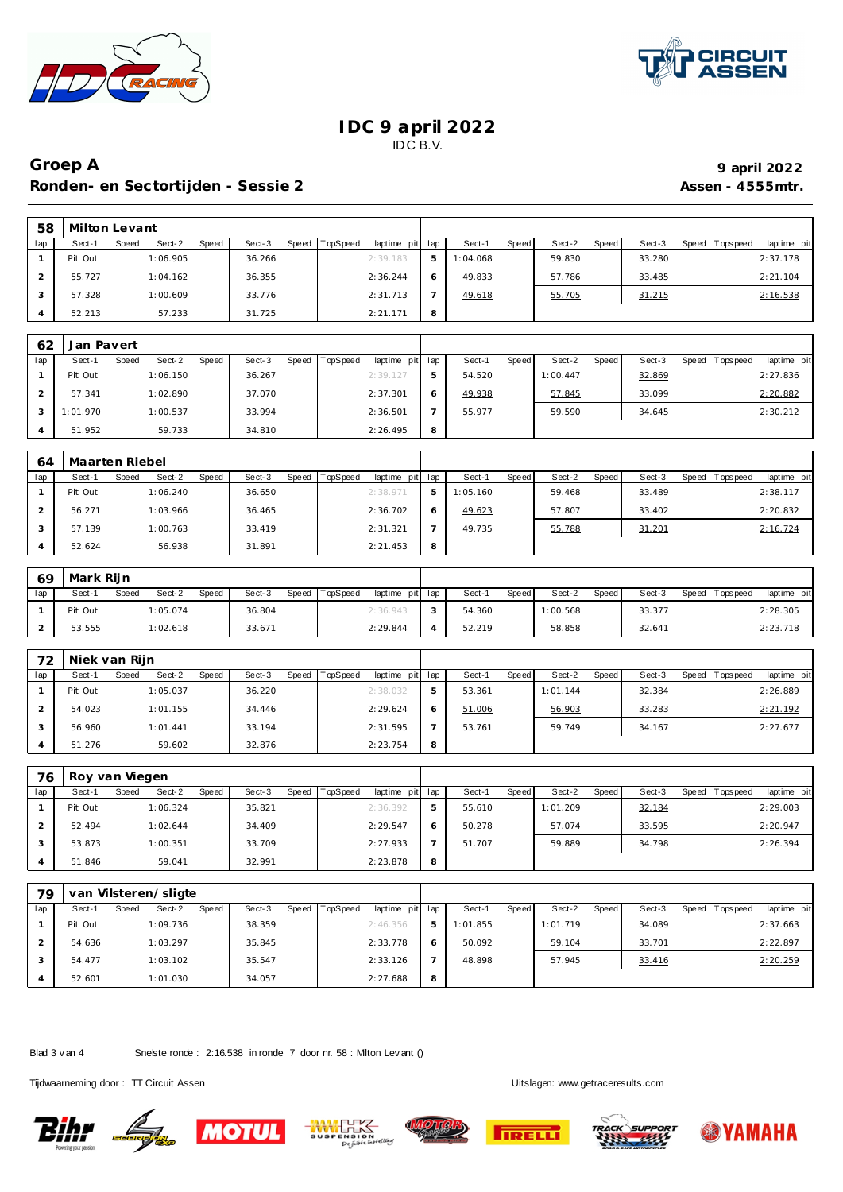



### **IDC 9 april 2022** IDC B.V.

# **Groep A 9 april 2022 Ronden- en Sectortijden - Sessie 2 Assen - 4555mtr.**

| 58  | Milton Levant |       |          |       |        |                |                 |    |          |       |        |       |        |                 |             |
|-----|---------------|-------|----------|-------|--------|----------------|-----------------|----|----------|-------|--------|-------|--------|-----------------|-------------|
| lap | Sect-1        | Speed | Sect-2   | Speed | Sect-3 | Speed TopSpeed | laptime pit lap |    | Sect-1   | Speed | Sect-2 | Speed | Sect-3 | Speed Tops peed | laptime pit |
|     | Pit Out       |       | 1:06.905 |       | 36.266 |                | 2:39.183        | .5 | 1:04.068 |       | 59.830 |       | 33.280 |                 | 2:37.178    |
|     | 55.727        |       | 1:04.162 |       | 36.355 |                | 2:36.244        |    | 49.833   |       | 57.786 |       | 33.485 |                 | 2:21.104    |
|     | 57.328        |       | 1:00.609 |       | 33.776 |                | 2:31.713        |    | 49.618   |       | 55.705 |       | 31.215 |                 | 2:16.538    |
|     | 52.213        |       | 57.233   |       | 31.725 |                | 2:21.171        | 8  |          |       |        |       |        |                 |             |

| 62  | Jan Pavert |       |          |       |        |         |                 |                 |   |        |       |          |       |        |                |             |
|-----|------------|-------|----------|-------|--------|---------|-----------------|-----------------|---|--------|-------|----------|-------|--------|----------------|-------------|
| lap | Sect-1     | Speed | Sect-2   | Speed | Sect-3 | Speed T | <b>TopSpeed</b> | laptime pit lap |   | Sect-1 | Speed | Sect-2   | Speed | Sect-3 | Speed Topspeed | laptime pit |
|     | Pit Out    |       | 1:06.150 |       | 36.267 |         |                 | 2:39.127        | h | 54.520 |       | 1:00.447 |       | 32.869 |                | 2:27.836    |
|     | 57.341     |       | 1:02.890 |       | 37.070 |         |                 | 2:37.301        |   | 49.938 |       | 57.845   |       | 33.099 |                | 2:20.882    |
|     | 1:01.970   |       | 1:00.537 |       | 33.994 |         |                 | 2:36.501        |   | 55.977 |       | 59.590   |       | 34.645 |                | 2:30.212    |
|     | 51.952     |       | 59.733   |       | 34.810 |         |                 | 2:26.495        | 8 |        |       |          |       |        |                |             |

| 64  | Maarten Riebel |       |          |       |        |       |          |             |     |          |              |        |       |        |       |           |             |
|-----|----------------|-------|----------|-------|--------|-------|----------|-------------|-----|----------|--------------|--------|-------|--------|-------|-----------|-------------|
| lap | Sect-1         | Speed | Sect-2   | Speed | Sect-3 | Speed | TopSpeed | laptime pit | lap | Sect-    | <b>Speed</b> | Sect-2 | Speed | Sect-3 | Speed | Tops peed | laptime pit |
|     | Pit Out        |       | 1:06.240 |       | 36.650 |       |          | 2:38.971    | b.  | 1:05.160 |              | 59.468 |       | 33.489 |       |           | 2:38.117    |
|     | 56.271         |       | 1:03.966 |       | 36.465 |       |          | 2:36.702    | 6   | 49.623   |              | 57.807 |       | 33.402 |       |           | 2:20.832    |
|     | 57.139         |       | 1:00.763 |       | 33.419 |       |          | 2:31.321    |     | 49.735   |              | 55.788 |       | 31.201 |       |           | 2:16.724    |
|     | 52.624         |       | 56.938   |       | 31.891 |       |          | 2:21.453    | 8   |          |              |        |       |        |       |           |             |

| 69  | l Mark Riin |       |          |       |        |                |                 |        |       |          |       |        |       |           |             |  |
|-----|-------------|-------|----------|-------|--------|----------------|-----------------|--------|-------|----------|-------|--------|-------|-----------|-------------|--|
| lap | Sect-1      | Speed | Sect-2   | Speed | Sect-3 | Speed TopSpeed | laptime pit lap | Sect-1 | Speed | Sect-2   | Speed | Sect-3 | Speed | Tops peed | laptime pit |  |
|     | Pit Out     |       | 1:05.074 |       | 36.804 |                | 2:36.943        | 54.360 |       | 1:00.568 |       | 33.377 |       |           | 2:28.305    |  |
|     | 53.555      |       | 1:02.618 |       | 33.671 |                | 2:29.844        | 52.219 |       | 58.858   |       | 32.641 |       |           | 2:23.718    |  |

| 72  | Niek van Rijn |       |          |              |        |       |          |                 |   |        |       |          |       |        |                |             |
|-----|---------------|-------|----------|--------------|--------|-------|----------|-----------------|---|--------|-------|----------|-------|--------|----------------|-------------|
| lap | Sect-1        | Speed | Sect-2   | <b>Speed</b> | Sect-3 | Speed | TopSpeed | laptime pit lap |   | Sect-1 | Speed | Sect-2   | Speed | Sect-3 | Speed Topspeed | laptime pit |
|     | Pit Out       |       | 1:05.037 |              | 36.220 |       |          | 2:38.032        | 5 | 53.361 |       | 1:01.144 |       | 32.384 |                | 2:26.889    |
|     | 54.023        |       | 1:01.155 |              | 34.446 |       |          | 2:29.624        |   | 51.006 |       | 56.903   |       | 33.283 |                | 2:21.192    |
|     | 56.960        |       | 1:01.441 |              | 33.194 |       |          | 2:31.595        |   | 53.761 |       | 59.749   |       | 34.167 |                | 2:27.677    |
|     | 51.276        |       | 59.602   |              | 32.876 |       |          | 2:23.754        | 8 |        |       |          |       |        |                |             |

| 76  | Roy van Viegen |       |          |       |        |       |                 |             |         |        |       |          |       |        |                  |             |
|-----|----------------|-------|----------|-------|--------|-------|-----------------|-------------|---------|--------|-------|----------|-------|--------|------------------|-------------|
| lap | Sect-1         | Speed | Sect-2   | Speed | Sect-3 | Speed | <b>TopSpeed</b> | laptime pit | lap     | Sect-1 | Speed | Sect-2   | Speed | Sect-3 | Speed   Topspeed | laptime pit |
|     | Pit Out        |       | 1:06.324 |       | 35.821 |       |                 | 2:36.392    | 5       | 55.610 |       | 1:01.209 |       | 32.184 |                  | 2:29.003    |
|     | 52.494         |       | 1:02.644 |       | 34.409 |       |                 | 2:29.547    | $\circ$ | 50.278 |       | 57.074   |       | 33.595 |                  | 2:20.947    |
|     | 53.873         |       | 1:00.351 |       | 33.709 |       |                 | 2:27.933    |         | 51.707 |       | 59.889   |       | 34.798 |                  | 2:26.394    |
|     | 51.846         |       | 59.041   |       | 32.991 |       |                 | 2:23.878    | 8       |        |       |          |       |        |                  |             |

| 79  |         |       | van Vilsteren/sligte |       |        |       |          |             |     |          |       |          |       |        |                 |             |
|-----|---------|-------|----------------------|-------|--------|-------|----------|-------------|-----|----------|-------|----------|-------|--------|-----------------|-------------|
| lap | Sect-1  | Speed | Sect-2               | Speed | Sect-3 | Speed | TopSpeed | laptime pit | lap | Sect-1   | Speed | Sect-2   | Speed | Sect-3 | Speed Tops peed | laptime pit |
|     | Pit Out |       | 1:09.736             |       | 38.359 |       |          | 2:46.356    | 5   | 1:01.855 |       | 1:01.719 |       | 34.089 |                 | 2:37.663    |
|     | 54.636  |       | 1:03.297             |       | 35.845 |       |          | 2:33.778    | 6   | 50.092   |       | 59.104   |       | 33.701 |                 | 2:22.897    |
|     | 54.477  |       | 1:03.102             |       | 35.547 |       |          | 2:33.126    |     | 48.898   |       | 57.945   |       | 33.416 |                 | 2:20.259    |
|     | 52.601  |       | 1:01.030             |       | 34.057 |       |          | 2:27.688    | 8   |          |       |          |       |        |                 |             |

Blad 3 v an 4 Snelste ronde : 2:16.538 in ronde 7 door nr. 58 : Milton Lev ant ()

Tijdwaarneming door : TT Circuit Assen enter the state of the Uitslagen:<www.getraceresults.com>